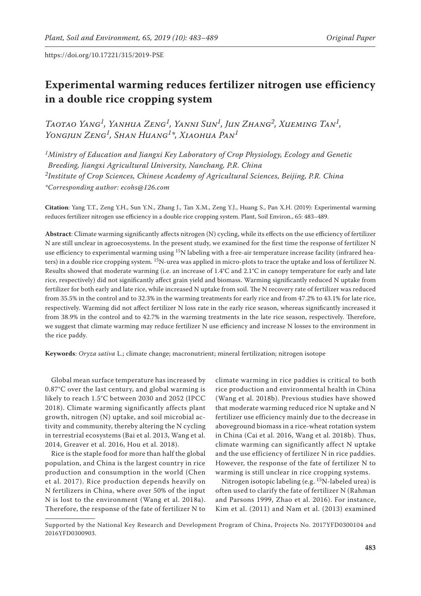# **Experimental warming reduces fertilizer nitrogen use efficiency in a double rice cropping system**

*Taotao Yang1, Yanhua Zeng1, Yanni Sun1, Jun Zhang2, Xueming Tan1, Yongjun Zeng1, Shan Huang1\*, Xiaohua Pan1*

*1Ministry of Education and Jiangxi Key Laboratory of Crop Physiology, Ecology and Genetic Breeding, Jiangxi Agricultural University, Nanchang, P.R. China 2Institute of Crop Sciences, Chinese Academy of Agricultural Sciences, Beijing, P.R. China \*Corresponding author: ecohs@126.com*

**Citation**: Yang T.T., Zeng Y.H., Sun Y.N., Zhang J., Tan X.M., Zeng Y.J., Huang S., Pan X.H. (2019): Experimental warming reduces fertilizer nitrogen use efficiency in a double rice cropping system. Plant, Soil Environ., 65: 483–489.

**Abstract**: Climate warming significantly affects nitrogen (N) cycling, while its effects on the use efficiency of fertilizer N are still unclear in agroecosystems. In the present study, we examined for the first time the response of fertilizer N use efficiency to experimental warming using <sup>15</sup>N labeling with a free-air temperature increase facility (infrared heaters) in a double rice cropping system. 15N-urea was applied in micro-plots to trace the uptake and loss of fertilizer N. Results showed that moderate warming (i.e. an increase of 1.4°C and 2.1°C in canopy temperature for early and late rice, respectively) did not significantly affect grain yield and biomass. Warming significantly reduced N uptake from fertilizer for both early and late rice, while increased N uptake from soil. The N recovery rate of fertilizer was reduced from 35.5% in the control and to 32.3% in the warming treatments for early rice and from 47.2% to 43.1% for late rice, respectively. Warming did not affect fertilizer N loss rate in the early rice season, whereas significantly increased it from 38.9% in the control and to 42.7% in the warming treatments in the late rice season, respectively. Therefore, we suggest that climate warming may reduce fertilizer N use efficiency and increase N losses to the environment in the rice paddy.

**Keywords**: *Oryza sativa* L.; climate change; macronutrient; mineral fertilization; nitrogen isotope

Global mean surface temperature has increased by 0.87°C over the last century, and global warming is likely to reach 1.5°C between 2030 and 2052 (IPCC 2018). Climate warming significantly affects plant growth, nitrogen (N) uptake, and soil microbial activity and community, thereby altering the N cycling in terrestrial ecosystems (Bai et al. 2013, Wang et al. 2014, Greaver et al. 2016, Hou et al. 2018).

Rice is the staple food for more than half the global population, and China is the largest country in rice production and consumption in the world (Chen et al. 2017). Rice production depends heavily on N fertilizers in China, where over 50% of the input N is lost to the environment (Wang et al. 2018a). Therefore, the response of the fate of fertilizer N to

climate warming in rice paddies is critical to both rice production and environmental health in China (Wang et al. 2018b). Previous studies have showed that moderate warming reduced rice N uptake and N fertilizer use efficiency mainly due to the decrease in aboveground biomass in a rice-wheat rotation system in China (Cai et al. 2016, Wang et al. 2018b). Thus, climate warming can significantly affect N uptake and the use efficiency of fertilizer N in rice paddies. However, the response of the fate of fertilizer N to warming is still unclear in rice cropping systems.

Nitrogen isotopic labeling (e.g. 15N-labeled urea) is often used to clarify the fate of fertilizer N (Rahman and Parsons 1999, Zhao et al. 2016). For instance, Kim et al. (2011) and Nam et al. (2013) examined

Supported by the National Key Research and Development Program of China, Projects No. 2017YFD0300104 and 2016YFD0300903.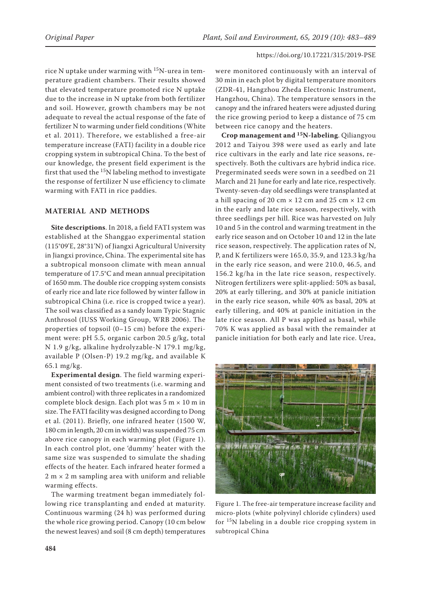rice N uptake under warming with  $15N$ -urea in temperature gradient chambers. Their results showed that elevated temperature promoted rice N uptake due to the increase in N uptake from both fertilizer and soil. However, growth chambers may be not adequate to reveal the actual response of the fate of fertilizer N to warming under field conditions (White et al. 2011). Therefore, we established a free-air temperature increase (FATI) facility in a double rice cropping system in subtropical China. To the best of our knowledge, the present field experiment is the first that used the  $15N$  labeling method to investigate the response of fertilizer N use efficiency to climate warming with FATI in rice paddies.

## **MATERIAL AND METHODS**

**Site descriptions**. In 2018, a field FATI system was established at the Shanggao experimental station (115°09'E, 28°31'N) of Jiangxi Agricultural University in Jiangxi province, China. The experimental site has a subtropical monsoon climate with mean annual temperature of 17.5°C and mean annual precipitation of 1650 mm. The double rice cropping system consists of early rice and late rice followed by winter fallow in subtropical China (i.e. rice is cropped twice a year). The soil was classified as a sandy loam Typic Stagnic Anthrosol (IUSS Working Group, WRB 2006). The properties of topsoil (0–15 cm) before the experiment were: pH 5.5, organic carbon 20.5 g/kg, total N 1.9 g/kg, alkaline hydrolyzable-N 179.1 mg/kg, available P (Olsen-P) 19.2 mg/kg, and available K 65.1 mg/kg.

**Experimental design**. The field warming experiment consisted of two treatments (i.e. warming and ambient control) with three replicates in a randomized complete block design. Each plot was 5 m × 10 m in size. The FATI facility was designed according to Dong et al. (2011). Briefly, one infrared heater (1500 W, 180 cm in length, 20 cm in width) was suspended 75 cm above rice canopy in each warming plot (Figure 1). In each control plot, one 'dummy' heater with the same size was suspended to simulate the shading effects of the heater. Each infrared heater formed a  $2 m \times 2 m$  sampling area with uniform and reliable warming effects.

The warming treatment began immediately following rice transplanting and ended at maturity. Continuous warming (24 h) was performed during the whole rice growing period. Canopy (10 cm below the newest leaves) and soil (8 cm depth) temperatures were monitored continuously with an interval of 30 min in each plot by digital temperature monitors (ZDR-41, Hangzhou Zheda Electronic Instrument, Hangzhou, China). The temperature sensors in the canopy and the infrared heaters were adjusted during the rice growing period to keep a distance of 75 cm between rice canopy and the heaters.

**Crop management and 15N-labeling**. Qiliangyou 2012 and Taiyou 398 were used as early and late rice cultivars in the early and late rice seasons, respectively. Both the cultivars are hybrid indica rice. Pregerminated seeds were sown in a seedbed on 21 March and 21 June for early and late rice, respectively. Twenty-seven-day old seedlings were transplanted at a hill spacing of 20 cm  $\times$  12 cm and 25 cm  $\times$  12 cm in the early and late rice season, respectively, with three seedlings per hill. Rice was harvested on July 10 and 5 in the control and warming treatment in the early rice season and on October 10 and 12 in the late rice season, respectively. The application rates of N, P, and K fertilizers were 165.0, 35.9, and 123.3 kg/ha in the early rice season, and were 210.0, 46.5, and 156.2 kg/ha in the late rice season, respectively. Nitrogen fertilizers were split-applied: 50% as basal, 20% at early tillering, and 30% at panicle initiation in the early rice season, while 40% as basal, 20% at early tillering, and 40% at panicle initiation in the late rice season. All P was applied as basal, while 70% K was applied as basal with the remainder at panicle initiation for both early and late rice. Urea,



Figure 1. The free-air temperature increase facility and micro-plots (white polyvinyl chloride cylinders) used for  $15N$  labeling in a double rice cropping system in subtropical China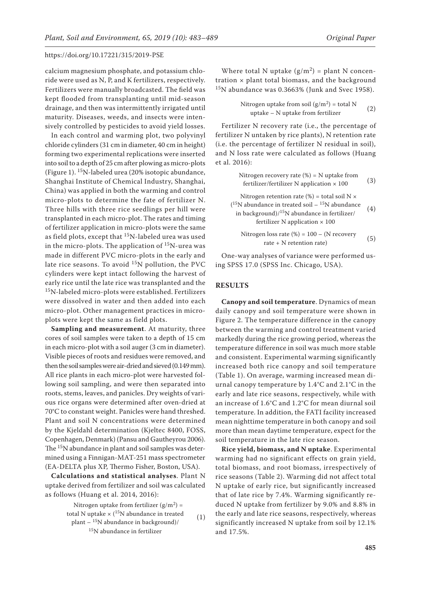calcium magnesium phosphate, and potassium chloride were used as N, P, and K fertilizers, respectively. Fertilizers were manually broadcasted. The field was kept flooded from transplanting until mid-season drainage, and then was intermittently irrigated until maturity. Diseases, weeds, and insects were intensively controlled by pesticides to avoid yield losses.

In each control and warming plot, two polyvinyl chloride cylinders (31 cm in diameter, 40 cm in height) forming two experimental replications were inserted into soil to a depth of 25 cm after plowing as micro-plots (Figure 1). 15N-labeled urea (20% isotopic abundance, Shanghai Institute of Chemical Industry, Shanghai, China) was applied in both the warming and control micro-plots to determine the fate of fertilizer N. Three hills with three rice seedlings per hill were transplanted in each micro-plot. The rates and timing of fertilizer application in micro-plots were the same as field plots, except that  $^{15}N$ -labeled urea was used in the micro-plots. The application of  $15N$ -urea was made in different PVC micro-plots in the early and late rice seasons. To avoid  $^{15}N$  pollution, the PVC cylinders were kept intact following the harvest of early rice until the late rice was transplanted and the 15N-labeled micro-plots were established. Fertilizers were dissolved in water and then added into each micro-plot. Other management practices in microplots were kept the same as field plots.

**Sampling and measurement**. At maturity, three cores of soil samples were taken to a depth of 15 cm in each micro-plot with a soil auger (3 cm in diameter). Visible pieces of roots and residues were removed, and then the soil samples were air-dried and sieved (0.149 mm). All rice plants in each micro-plot were harvested following soil sampling, and were then separated into roots, stems, leaves, and panicles. Dry weights of various rice organs were determined after oven-dried at 70°C to constant weight. Panicles were hand threshed. Plant and soil N concentrations were determined by the Kjeldahl determination (Kjeltec 8400, FOSS, Copenhagen, Denmark) (Pansu and Gautheyrou 2006). The <sup>15</sup>N abundance in plant and soil samples was determined using a Finnigan-MAT-251 mass spectrometer (EA-DELTA plus XP, Thermo Fisher, Boston, USA).

**Calculations and statistical analyses**. Plant N uptake derived from fertilizer and soil was calculated as follows (Huang et al. 2014, 2016):

> Nitrogen uptake from fertilizer  $(g/m^2)$  = total N uptake  $\times$  (<sup>15</sup>N abundance in treated plant  $-$  <sup>15</sup>N abundance in background)/ <sup>15</sup>N abundance in fertilizer (1)

Where total N uptake  $(g/m^2)$  = plant N concentration  $\times$  plant total biomass, and the background 15N abundance was 0.3663% (Junk and Svec 1958).

Nitrogen uptake from soil 
$$
(g/m^2)
$$
 = total N  
uptake – N uptake from fertilizer (2)

Fertilizer N recovery rate (i.e., the percentage of fertilizer N untaken by rice plants), N retention rate (i.e. the percentage of fertilizer N residual in soil), and N loss rate were calculated as follows (Huang et al. 2016):

> Nitrogen recovery rate  $(\%)$  = N uptake from fertilizer/fertilizer N application  $\times$  100 (3)

Nitrogen retention rate (%) = total soil  $N \times$ ( $^{15}N$  abundance in treated soil –  $^{15}N$  abundance in background) $/15N$  abundance in fertilizer/ fertilizer N application  $\times$  100 (4)

Nitrogen loss rate (%) = 
$$
100 - (N \text{ recovery rate} + N \text{ retention rate})
$$
 (5)

One-way analyses of variance were performed using SPSS 17.0 (SPSS Inc. Chicago, USA).

#### **RESULTS**

**Canopy and soil temperature**. Dynamics of mean daily canopy and soil temperature were shown in Figure 2. The temperature difference in the canopy between the warming and control treatment varied markedly during the rice growing period, whereas the temperature difference in soil was much more stable and consistent. Experimental warming significantly increased both rice canopy and soil temperature (Table 1). On average, warming increased mean diurnal canopy temperature by 1.4°C and 2.1°C in the early and late rice seasons, respectively, while with an increase of 1.6°C and 1.2°C for mean diurnal soil temperature. In addition, the FATI facility increased mean nighttime temperature in both canopy and soil more than mean daytime temperature, expect for the soil temperature in the late rice season.

**Rice yield, biomass, and N uptake**. Experimental warming had no significant effects on grain yield, total biomass, and root biomass, irrespectively of rice seasons (Table 2). Warming did not affect total N uptake of early rice, but significantly increased that of late rice by 7.4%. Warming significantly reduced N uptake from fertilizer by 9.0% and 8.8% in the early and late rice seasons, respectively, whereas significantly increased N uptake from soil by 12.1% and 17.5%.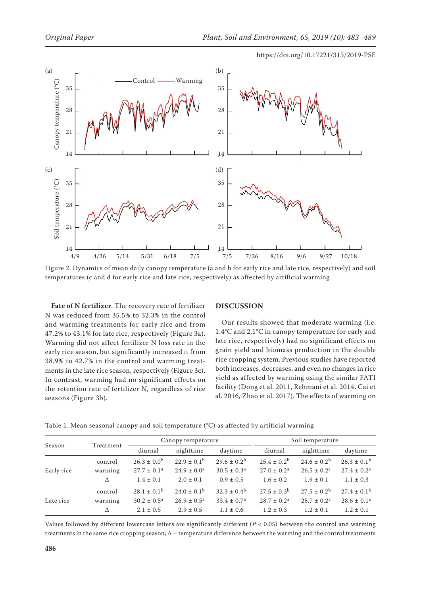

Figure 2. Dynamics of mean daily canopy temperature (a and b for early rice and late rice, respectively) and soil temperatures (c and d for early rice and late rice, respectively) as affected by artificial warming

**Fate of N fertilizer**. The recovery rate of fertilizer N was reduced from 35.5% to 32.3% in the control and warming treatments for early rice and from 47.2% to 43.1% for late rice, respectively (Figure 3a). Warming did not affect fertilizer N loss rate in the early rice season, but significantly increased it from 38.9% to 42.7% in the control and warming treatments in the late rice season, respectively (Figure 3c). In contrast, warming had no significant effects on the retention rate of fertilizer N, regardless of rice seasons (Figure 3b).

### **DISCUSSION**

Our results showed that moderate warming (i.e. 1.4°C and 2.1°C in canopy temperature for early and late rice, respectively) had no significant effects on grain yield and biomass production in the double rice cropping system. Previous studies have reported both increases, decreases, and even no changes in rice yield as affected by warming using the similar FATI facility (Dong et al. 2011, Rehmani et al. 2014, Cai et al. 2016, Zhao et al. 2017). The effects of warming on

| Table 1. Mean seasonal canopy and soil temperature (°C) as affected by artificial warming |  |  |  |  |
|-------------------------------------------------------------------------------------------|--|--|--|--|
|-------------------------------------------------------------------------------------------|--|--|--|--|

| Season     | Treatment | Canopy temperature        |                           |                        | Soil temperature          |                  |                           |
|------------|-----------|---------------------------|---------------------------|------------------------|---------------------------|------------------|---------------------------|
|            |           | diurnal                   | nighttime                 | daytime                | diurnal                   | nighttime        | daytime                   |
| Early rice | control   | $26.3 \pm 0.0^{\rm b}$    | $22.9 \pm 0.1^{\rm b}$    | $29.6 \pm 0.2^b$       | $25.4 \pm 0.2^b$          | $24.6 \pm 0.2^b$ | $26.3 \pm 0.1^{\rm b}$    |
|            | warming   | $27.7 \pm 0.1^a$          | $24.9 \pm 0.0^a$          | $30.5 \pm 0.3^{\circ}$ | $27.0 \pm 0.2^{\text{a}}$ | $26.5 \pm 0.2^a$ | $27.4 \pm 0.2^{\text{a}}$ |
|            | Δ         | $1.4 \pm 0.1$             | $2.0 \pm 0.1$             | $0.9 \pm 0.5$          | $1.6 \pm 0.2$             | $1.9 \pm 0.1$    | $1.1 \pm 0.3$             |
| Late rice  | control   | $28.1 \pm 0.1^{\rm b}$    | $24.0 \pm 0.1^{\rm b}$    | $32.3 \pm 0.4^{\rm b}$ | $27.5 \pm 0.3^{\rm b}$    | $27.5 + 0.2^b$   | $27.4 \pm 0.1^{\rm b}$    |
|            | warming   | $30.2 \pm 0.5^{\text{a}}$ | $26.9 \pm 0.5^{\text{a}}$ | $33.4 \pm 0.7^{\rm a}$ | $28.7 \pm 0.2^a$          | $28.7 \pm 0.2^a$ | $28.6 \pm 0.1^a$          |
|            | Δ         | $2.1 \pm 0.5$             | $2.9 \pm 0.5$             | $1.1 \pm 0.6$          | $1.2 \pm 0.3$             | $1.2 \pm 0.1$    | $1.2 \pm 0.1$             |

Values followed by different lowercase letters are significantly different (*P* < 0.05) between the control and warming treatments in the same rice cropping season;  $\Delta$  – temperature difference between the warming and the control treatments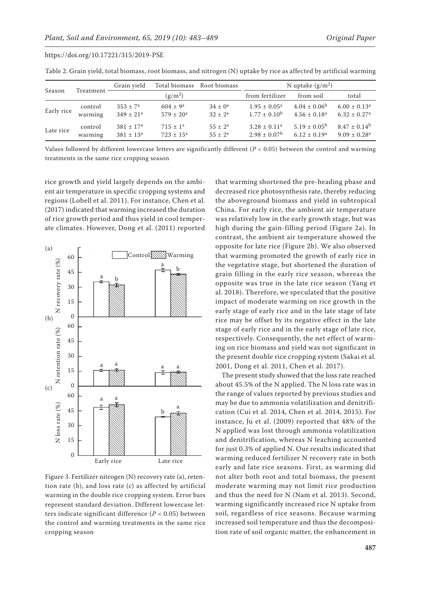| https://doi.org/10.17221/315/2019-PSE |  |
|---------------------------------------|--|
|---------------------------------------|--|

| Season     | Treatment          | Grain vield                       | Total biomass<br>Root biomass               |                              | N uptake $(g/m^2)$                                    |                                                         |                                                   |  |
|------------|--------------------|-----------------------------------|---------------------------------------------|------------------------------|-------------------------------------------------------|---------------------------------------------------------|---------------------------------------------------|--|
|            |                    |                                   | $(g/m^2)$                                   |                              | from fertilizer                                       | from soil                                               | total                                             |  |
| Early rice | control<br>warming | $353 \pm 7^a$<br>$349 \pm 21^{a}$ | $604 \pm 9^{\rm a}$<br>$579 \pm 20^{\circ}$ | $34 \pm 0^a$<br>$32 \pm 2^a$ | $1.95 \pm 0.05^{\text{a}}$<br>$1.77 \pm 0.10^{\rm b}$ | $4.04 \pm 0.06^{\circ}$<br>$4.56 \pm 0.18$ <sup>a</sup> | $6.00 \pm 0.13^a$<br>$6.32 \pm 0.27$ <sup>a</sup> |  |
| Late rice  | control<br>warming | $381 \pm 17^a$<br>$381 \pm 13^a$  | $715 \pm 1^a$<br>$723 \pm 15^{\circ}$       | $55 \pm 2^a$<br>$55 \pm 2^a$ | $3.28 \pm 0.11^a$<br>$2.98 \pm 0.07^{\rm b}$          | $5.19 \pm 0.05^{\circ}$<br>$6.12 + 0.19a$               | $8.47 + 0.14^b$<br>$9.09 \pm 0.28$ <sup>a</sup>   |  |

Table 2. Grain yield, total biomass, root biomass, and nitrogen (N) uptake by rice as affected by artificial warming

Values followed by different lowercase letters are significantly different (*P* < 0.05) between the control and warming treatments in the same rice cropping season

rice growth and yield largely depends on the ambient air temperature in specific cropping systems and regions (Lobell et al. 2011). For instance, Chen et al. (2017) indicated that warming increased the duration of rice growth period and thus yield in cool temperate climates. However, Dong et al. (2011) reported



Figure 3. Fertilizer nitrogen (N) recovery rate (a), retention rate (b), and loss rate (c) as affected by artificial warming in the double rice cropping system. Error bars represent standard deviation. Different lowercase letters indicate significant difference (*P* < 0.05) between the control and warming treatments in the same rice cropping season

that warming shortened the pre-heading phase and decreased rice photosynthesis rate, thereby reducing the aboveground biomass and yield in subtropical China. For early rice, the ambient air temperature was relatively low in the early growth stage, but was high during the gain-filling period (Figure 2a). In contrast, the ambient air temperature showed the opposite for late rice (Figure 2b). We also observed that warming promoted the growth of early rice in the vegetative stage, but shortened the duration of grain filling in the early rice season, whereas the opposite was true in the late rice season (Yang et al. 2018). Therefore, we speculated that the positive impact of moderate warming on rice growth in the early stage of early rice and in the late stage of late rice may be offset by its negative effect in the late stage of early rice and in the early stage of late rice, respectively. Consequently, the net effect of warming on rice biomass and yield was not significant in the present double rice cropping system (Sakai et al. 2001, Dong et al. 2011, Chen et al. 2017).

The present study showed that the loss rate reached about 45.5% of the N applied. The N loss rate was in the range of values reported by previous studies and may be due to ammonia volatilization and denitrification (Cui et al. 2014, Chen et al. 2014, 2015). For instance, Ju et al. (2009) reported that 48% of the N applied was lost through ammonia volatilization and denitrification, whereas N leaching accounted for just 0.3% of applied N. Our results indicated that warming reduced fertilizer N recovery rate in both early and late rice seasons. First, as warming did not alter both root and total biomass, the present moderate warming may not limit rice production and thus the need for N (Nam et al. 2013). Second, warming significantly increased rice N uptake from soil, regardless of rice seasons. Because warming increased soil temperature and thus the decomposition rate of soil organic matter, the enhancement in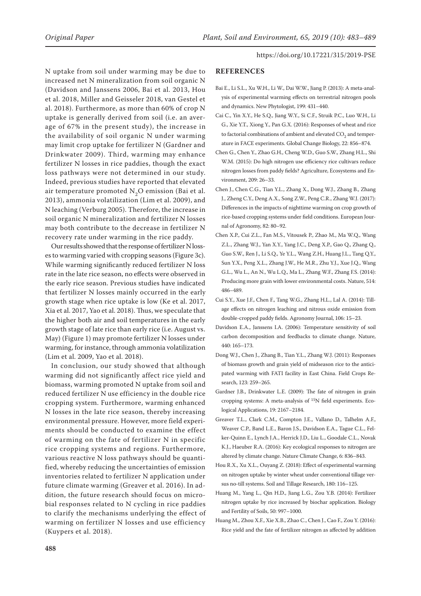N uptake from soil under warming may be due to increased net N mineralization from soil organic N (Davidson and Janssens 2006, Bai et al. 2013, Hou et al. 2018, Miller and Geisseler 2018, van Gestel et al. 2018). Furthermore, as more than 60% of crop N uptake is generally derived from soil (i.e. an average of 67% in the present study), the increase in the availability of soil organic N under warming may limit crop uptake for fertilizer N (Gardner and Drinkwater 2009). Third, warming may enhance fertilizer N losses in rice paddies, though the exact loss pathways were not determined in our study. Indeed, previous studies have reported that elevated air temperature promoted  $N_2O$  emission (Bai et al. 2013), ammonia volatilization (Lim et al. 2009), and N leaching (Verburg 2005). Therefore, the increase in soil organic N mineralization and fertilizer N losses may both contribute to the decrease in fertilizer N recovery rate under warming in the rice paddy.

Our results showed that the response of fertilizer N losses to warming varied with cropping seasons (Figure 3c). While warming significantly reduced fertilizer N loss rate in the late rice season, no effects were observed in the early rice season. Previous studies have indicated that fertilizer N losses mainly occurred in the early growth stage when rice uptake is low (Ke et al. 2017, Xia et al. 2017, Yao et al. 2018). Thus, we speculate that the higher both air and soil temperatures in the early growth stage of late rice than early rice (i.e. August vs. May) (Figure 1) may promote fertilizer N losses under warming, for instance, through ammonia volatilization (Lim et al. 2009, Yao et al. 2018).

In conclusion, our study showed that although warming did not significantly affect rice yield and biomass, warming promoted N uptake from soil and reduced fertilizer N use efficiency in the double rice cropping system. Furthermore, warming enhanced N losses in the late rice season, thereby increasing environmental pressure. However, more field experiments should be conducted to examine the effect of warming on the fate of fertilizer N in specific rice cropping systems and regions. Furthermore, various reactive N loss pathways should be quantified, whereby reducing the uncertainties of emission inventories related to fertilizer N application under future climate warming (Greaver et al. 2016). In addition, the future research should focus on microbial responses related to N cycling in rice paddies to clarify the mechanisms underlying the effect of warming on fertilizer N losses and use efficiency (Kuypers et al. 2018).

#### **REFERENCES**

- Bai E., Li S.L., Xu W.H., Li W., Dai W.W., Jiang P. (2013): A meta-analysis of experimental warming effects on terrestrial nitrogen pools and dynamics. New Phytologist, 199: 431–440.
- Cai C., Yin X.Y., He S.Q., Jiang W.Y., Si C.F., Struik P.C., Luo W.H., Li G., Xie Y.T., Xiong Y., Pan G.X. (2016): Responses of wheat and rice to factorial combinations of ambient and elevated  $\mathrm{CO}_2^{}$  and temperature in FACE experiments. Global Change Biology, 22: 856–874.
- Chen G., Chen Y., Zhao G.H., Cheng W.D., Guo S.W., Zhang H.L., Shi W.M. (2015): Do high nitrogen use efficiency rice cultivars reduce nitrogen losses from paddy fields? Agriculture, Ecosystems and Environment, 209: 26–33.
- Chen J., Chen C.G., Tian Y.L., Zhang X., Dong W.J., Zhang B., Zhang J., Zheng C.Y., Deng A.X., Song Z.W., Peng C.R., Zhang W.J. (2017): Differences in the impacts of nighttime warming on crop growth of rice-based cropping systems under field conditions. European Journal of Agronomy, 82: 80–92.
- Chen X.P., Cui Z.L., Fan M.S., Vitousek P., Zhao M., Ma W.Q., Wang Z.L., Zhang W.J., Yan X.Y., Yang J.C., Deng X.P., Gao Q., Zhang Q., Guo S.W., Ren J., Li S.Q., Ye Y.L., Wang Z.H., Huang J.L., Tang Q.Y., Sun Y.X., Peng X.L., Zhang J.W., He M.R., Zhu Y.J., Xue J.Q., Wang G.L., Wu L., An N., Wu L.Q., Ma L., Zhang W.F., Zhang F.S. (2014): Producing more grain with lower environmental costs. Nature, 514: 486–489.
- Cui S.Y., Xue J.F., Chen F., Tang W.G., Zhang H.L., Lal A. (2014): Tillage effects on nitrogen leaching and nitrous oxide emission from double-cropped paddy fields. Agronomy Journal, 106: 15–23.
- Davidson E.A., Janssens I.A. (2006): Temperature sensitivity of soil carbon decomposition and feedbacks to climate change. Nature, 440: 165–173.
- Dong W.J., Chen J., Zhang B., Tian Y.L., Zhang W.J. (2011): Responses of biomass growth and grain yield of midseason rice to the anticipated warming with FATI facility in East China. Field Crops Research, 123: 259–265.
- Gardner J.B., Drinkwater L.E. (2009): The fate of nitrogen in grain cropping systems: A meta-analysis of 15N field experiments. Ecological Applications, 19: 2167–2184.
- Greaver T.L., Clark C.M., Compton J.E., Vallano D., Talhelm A.F., Weaver C.P., Band L.E., Baron J.S., Davidson E.A., Tague C.L., Felker-Quinn E., Lynch J.A., Herrick J.D., Liu L., Goodale C.L., Novak K.J., Haeuber R.A. (2016): Key ecological responses to nitrogen are altered by climate change. Nature Climate Change, 6: 836–843.
- Hou R.X., Xu X.L., Ouyang Z. (2018): Effect of experimental warming on nitrogen uptake by winter wheat under conventional tillage versus no-till systems. Soil and Tillage Research, 180: 116–125.
- Huang M., Yang L., Qin H.D., Jiang L.G., Zou Y.B. (2014): Fertilizer nitrogen uptake by rice increased by biochar application. Biology and Fertility of Soils, 50: 997–1000.
- Huang M., Zhou X.F., Xie X.B., Zhao C., Chen J., Cao F., Zou Y. (2016): Rice yield and the fate of fertilizer nitrogen as affected by addition